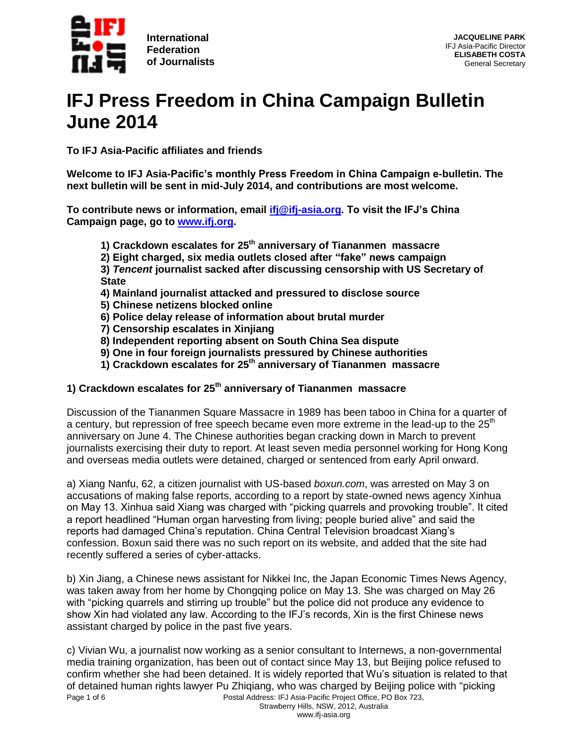

# **IFJ Press Freedom in China Campaign Bulletin June 2014**

**To IFJ Asia-Pacific affiliates and friends**

**Welcome to IFJ Asia-Pacific's monthly Press Freedom in China Campaign e-bulletin. The next bulletin will be sent in mid-July 2014, and contributions are most welcome.**

**To contribute news or information, email [ifj@ifj-asia.org.](mailto:ifj@ifj-asia.org) To visit the IFJ's China Campaign page, go to [www.ifj.org.](http://www.ifj.org/)**

- **1) Crackdown escalates for 25th anniversary of Tiananmen massacre**
- **2) Eight charged, six media outlets closed after "fake" news campaign**

**3)** *Tencent* **journalist sacked after discussing censorship with US Secretary of State**

- **4) Mainland journalist attacked and pressured to disclose source**
- **5) Chinese netizens blocked online**
- **6) Police delay release of information about brutal murder**
- **7) Censorship escalates in Xinjiang**
- **8) Independent reporting absent on South China Sea dispute**
- **9) One in four foreign journalists pressured by Chinese authorities**
- **1) Crackdown escalates for 25th anniversary of Tiananmen massacre**

## **1) Crackdown escalates for 25th anniversary of Tiananmen massacre**

Discussion of the Tiananmen Square Massacre in 1989 has been taboo in China for a quarter of a century, but repression of free speech became even more extreme in the lead-up to the  $25<sup>th</sup>$ anniversary on June 4. The Chinese authorities began cracking down in March to prevent journalists exercising their duty to report. At least seven media personnel working for Hong Kong and overseas media outlets were detained, charged or sentenced from early April onward.

a) Xiang Nanfu, 62, a citizen journalist with US-based *boxun.com*, was arrested on May 3 on accusations of making false reports, according to a report by state-owned news agency Xinhua on May 13. Xinhua said Xiang was charged with "picking quarrels and provoking trouble". It cited a report headlined "Human organ harvesting from living; people buried alive" and said the reports had damaged China's reputation. China Central Television broadcast Xiang's confession. Boxun said there was no such report on its website, and added that the site had recently suffered a series of cyber-attacks.

b) Xin Jiang, a Chinese news assistant for Nikkei Inc, the Japan Economic Times News Agency, was taken away from her home by Chongqing police on May 13. She was charged on May 26 with "picking quarrels and stirring up trouble" but the police did not produce any evidence to show Xin had violated any law. According to the IFJ's records, Xin is the first Chinese news assistant charged by police in the past five years.

Page 1 of 6 **Postal Address: IFJ Asia-Pacific Project Office, PO Box 723,** Strawberry Hills, NSW, 2012, Australia c) Vivian Wu, a journalist now working as a senior consultant to Internews, a non-governmental media training organization, has been out of contact since May 13, but Beijing police refused to confirm whether she had been detained. It is widely reported that Wu's situation is related to that of detained human rights lawyer Pu Zhiqiang, who was charged by Beijing police with "picking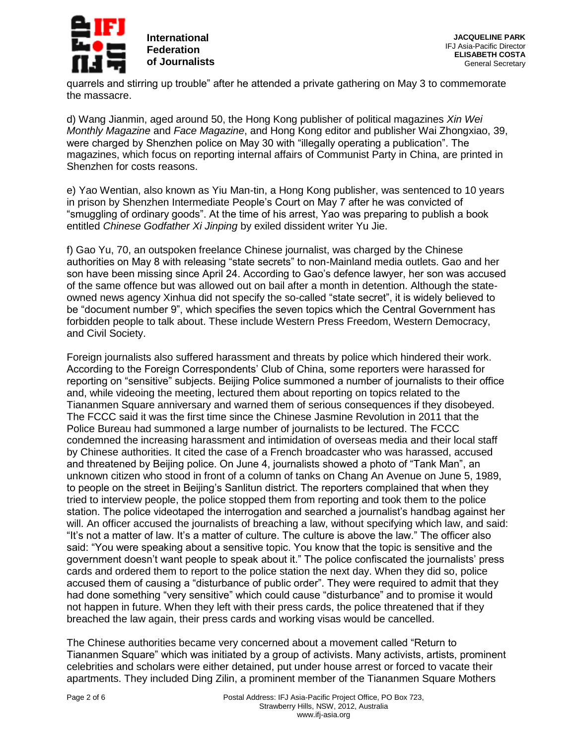

quarrels and stirring up trouble" after he attended a private gathering on May 3 to commemorate the massacre.

d) Wang Jianmin, aged around 50, the Hong Kong publisher of political magazines *Xin Wei Monthly Magazine* and *Face Magazine*, and Hong Kong editor and publisher Wai Zhongxiao, 39, were charged by Shenzhen police on May 30 with "illegally operating a publication". The magazines, which focus on reporting internal affairs of Communist Party in China, are printed in Shenzhen for costs reasons.

e) Yao Wentian, also known as Yiu Man-tin, a Hong Kong publisher, was sentenced to 10 years in prison by Shenzhen Intermediate People's Court on May 7 after he was convicted of "smuggling of ordinary goods". At the time of his arrest, Yao was preparing to publish a book entitled *Chinese Godfather Xi Jinping* by exiled dissident writer Yu Jie.

f) Gao Yu, 70, an outspoken freelance Chinese journalist, was charged by the Chinese authorities on May 8 with releasing "state secrets" to non-Mainland media outlets. Gao and her son have been missing since April 24. According to Gao's defence lawyer, her son was accused of the same offence but was allowed out on bail after a month in detention. Although the stateowned news agency Xinhua did not specify the so-called "state secret", it is widely believed to be "document number 9", which specifies the seven topics which the Central Government has forbidden people to talk about. These include Western Press Freedom, Western Democracy, and Civil Society.

Foreign journalists also suffered harassment and threats by police which hindered their work. According to the Foreign Correspondents' Club of China, some reporters were harassed for reporting on "sensitive" subjects. Beijing Police summoned a number of journalists to their office and, while videoing the meeting, lectured them about reporting on topics related to the Tiananmen Square anniversary and warned them of serious consequences if they disobeyed. The FCCC said it was the first time since the Chinese Jasmine Revolution in 2011 that the Police Bureau had summoned a large number of journalists to be lectured. The FCCC condemned the increasing harassment and intimidation of overseas media and their local staff by Chinese authorities. It cited the case of a French broadcaster who was harassed, accused and threatened by Beijing police. On June 4, journalists showed a photo of "Tank Man", an unknown citizen who stood in front of a column of tanks on Chang An Avenue on June 5, 1989, to people on the street in Beijing's Sanlitun district. The reporters complained that when they tried to interview people, the police stopped them from reporting and took them to the police station. The police videotaped the interrogation and searched a journalist's handbag against her will. An officer accused the journalists of breaching a law, without specifying which law, and said: "It's not a matter of law. It's a matter of culture. The culture is above the law." The officer also said: "You were speaking about a sensitive topic. You know that the topic is sensitive and the government doesn't want people to speak about it." The police confiscated the journalists' press cards and ordered them to report to the police station the next day. When they did so, police accused them of causing a "disturbance of public order". They were required to admit that they had done something "very sensitive" which could cause "disturbance" and to promise it would not happen in future. When they left with their press cards, the police threatened that if they breached the law again, their press cards and working visas would be cancelled.

The Chinese authorities became very concerned about a movement called "Return to Tiananmen Square" which was initiated by a group of activists. Many activists, artists, prominent celebrities and scholars were either detained, put under house arrest or forced to vacate their apartments. They included Ding Zilin, a prominent member of the Tiananmen Square Mothers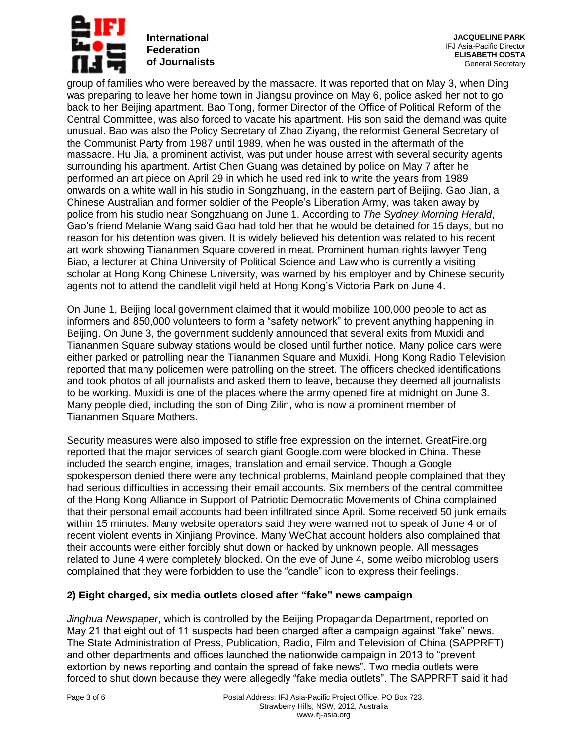

**JACQUELINE PARK** IFJ Asia-Pacific Director **ELISABETH COSTA** General Secretary

group of families who were bereaved by the massacre. It was reported that on May 3, when Ding was preparing to leave her home town in Jiangsu province on May 6, police asked her not to go back to her Beijing apartment. Bao Tong, former Director of the Office of Political Reform of the Central Committee, was also forced to vacate his apartment. His son said the demand was quite unusual. Bao was also the Policy Secretary of Zhao Ziyang, the reformist General Secretary of the Communist Party from 1987 until 1989, when he was ousted in the aftermath of the massacre. Hu Jia, a prominent activist, was put under house arrest with several security agents surrounding his apartment. Artist Chen Guang was detained by police on May 7 after he performed an art piece on April 29 in which he used red ink to write the years from 1989 onwards on a white wall in his studio in Songzhuang, in the eastern part of Beijing. Gao Jian, a Chinese Australian and former soldier of the People's Liberation Army, was taken away by police from his studio near Songzhuang on June 1. According to *The Sydney Morning Herald*, Gao's friend Melanie Wang said Gao had told her that he would be detained for 15 days, but no reason for his detention was given. It is widely believed his detention was related to his recent art work showing Tiananmen Square covered in meat. Prominent human rights lawyer Teng Biao, a lecturer at China University of Political Science and Law who is currently a visiting scholar at Hong Kong Chinese University, was warned by his employer and by Chinese security agents not to attend the candlelit vigil held at Hong Kong's Victoria Park on June 4.

On June 1, Beijing local government claimed that it would mobilize 100,000 people to act as informers and 850,000 volunteers to form a "safety network" to prevent anything happening in Beijing. On June 3, the government suddenly announced that several exits from Muxidi and Tiananmen Square subway stations would be closed until further notice. Many police cars were either parked or patrolling near the Tiananmen Square and Muxidi. Hong Kong Radio Television reported that many policemen were patrolling on the street. The officers checked identifications and took photos of all journalists and asked them to leave, because they deemed all journalists to be working. Muxidi is one of the places where the army opened fire at midnight on June 3. Many people died, including the son of Ding Zilin, who is now a prominent member of Tiananmen Square Mothers.

Security measures were also imposed to stifle free expression on the internet. GreatFire.org reported that the major services of search giant Google.com were blocked in China. These included the search engine, images, translation and email service. Though a Google spokesperson denied there were any technical problems, Mainland people complained that they had serious difficulties in accessing their email accounts. Six members of the central committee of the Hong Kong Alliance in Support of Patriotic Democratic Movements of China complained that their personal email accounts had been infiltrated since April. Some received 50 junk emails within 15 minutes. Many website operators said they were warned not to speak of June 4 or of recent violent events in Xinjiang Province. Many WeChat account holders also complained that their accounts were either forcibly shut down or hacked by unknown people. All messages related to June 4 were completely blocked. On the eve of June 4, some weibo microblog users complained that they were forbidden to use the "candle" icon to express their feelings.

### **2) Eight charged, six media outlets closed after "fake" news campaign**

*Jinghua Newspaper*, which is controlled by the Beijing Propaganda Department, reported on May 21 that eight out of 11 suspects had been charged after a campaign against "fake" news. The State Administration of Press, Publication, Radio, Film and Television of China (SAPPRFT) and other departments and offices launched the nationwide campaign in 2013 to "prevent extortion by news reporting and contain the spread of fake news". Two media outlets were forced to shut down because they were allegedly "fake media outlets". The SAPPRFT said it had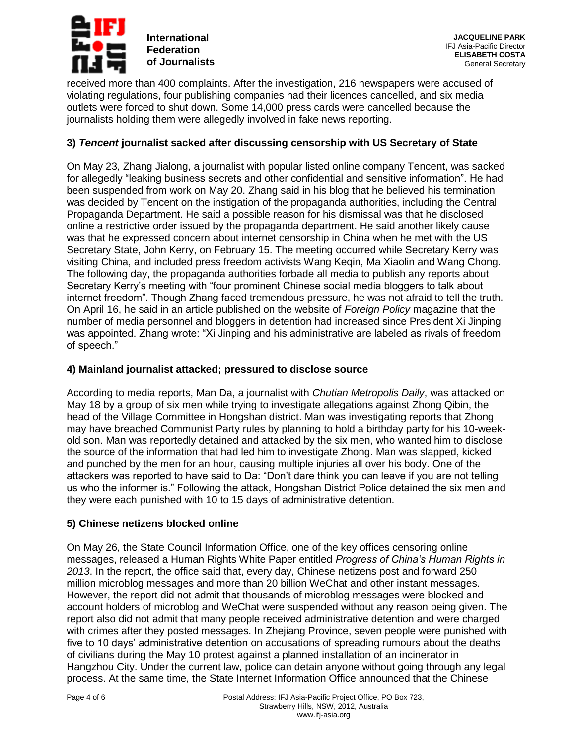

received more than 400 complaints. After the investigation, 216 newspapers were accused of violating regulations, four publishing companies had their licences cancelled, and six media outlets were forced to shut down. Some 14,000 press cards were cancelled because the journalists holding them were allegedly involved in fake news reporting.

## **3)** *Tencent* **journalist sacked after discussing censorship with US Secretary of State**

On May 23, Zhang Jialong, a journalist with popular listed online company Tencent, was sacked for allegedly "leaking business secrets and other confidential and sensitive information". He had been suspended from work on May 20. Zhang said in his blog that he believed his termination was decided by Tencent on the instigation of the propaganda authorities, including the Central Propaganda Department. He said a possible reason for his dismissal was that he disclosed online a restrictive order issued by the propaganda department. He said another likely cause was that he expressed concern about internet censorship in China when he met with the US Secretary State, John Kerry, on February 15. The meeting occurred while Secretary Kerry was visiting China, and included press freedom activists Wang Keqin, Ma Xiaolin and Wang Chong. The following day, the propaganda authorities forbade all media to publish any reports about Secretary Kerry's meeting with "four prominent Chinese social media bloggers to talk about internet freedom". Though Zhang faced tremendous pressure, he was not afraid to tell the truth. On April 16, he said in an article published on the website of *Foreign Policy* magazine that the number of media personnel and bloggers in detention had increased since President Xi Jinping was appointed. Zhang wrote: "Xi Jinping and his administrative are labeled as rivals of freedom of speech."

#### **4) Mainland journalist attacked; pressured to disclose source**

According to media reports, Man Da, a journalist with *Chutian Metropolis Daily*, was attacked on May 18 by a group of six men while trying to investigate allegations against Zhong Qibin, the head of the Village Committee in Hongshan district. Man was investigating reports that Zhong may have breached Communist Party rules by planning to hold a birthday party for his 10-weekold son. Man was reportedly detained and attacked by the six men, who wanted him to disclose the source of the information that had led him to investigate Zhong. Man was slapped, kicked and punched by the men for an hour, causing multiple injuries all over his body. One of the attackers was reported to have said to Da: "Don't dare think you can leave if you are not telling us who the informer is." Following the attack, Hongshan District Police detained the six men and they were each punished with 10 to 15 days of administrative detention.

### **5) Chinese netizens blocked online**

On May 26, the State Council Information Office, one of the key offices censoring online messages, released a Human Rights White Paper entitled *Progress of China's Human Rights in 2013*. In the report, the office said that, every day, Chinese netizens post and forward 250 million microblog messages and more than 20 billion WeChat and other instant messages. However, the report did not admit that thousands of microblog messages were blocked and account holders of microblog and WeChat were suspended without any reason being given. The report also did not admit that many people received administrative detention and were charged with crimes after they posted messages. In Zhejiang Province, seven people were punished with five to 10 days' administrative detention on accusations of spreading rumours about the deaths of civilians during the May 10 protest against a planned installation of an incinerator in Hangzhou City. Under the current law, police can detain anyone without going through any legal process. At the same time, the State Internet Information Office announced that the Chinese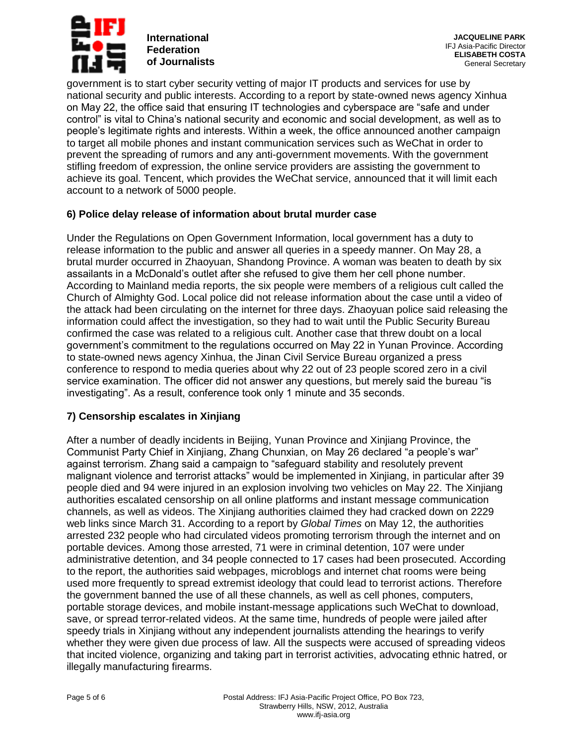

**JACQUELINE PARK** IFJ Asia-Pacific Director **ELISABETH COSTA** General Secretary

government is to start cyber security vetting of major IT products and services for use by national security and public interests. According to a report by state-owned news agency Xinhua on May 22, the office said that ensuring IT technologies and cyberspace are "safe and under control" is vital to China's national security and economic and social development, as well as to people's legitimate rights and interests. Within a week, the office announced another campaign to target all mobile phones and instant communication services such as WeChat in order to prevent the spreading of rumors and any anti-government movements. With the government stifling freedom of expression, the online service providers are assisting the government to achieve its goal. Tencent, which provides the WeChat service, announced that it will limit each account to a network of 5000 people.

### **6) Police delay release of information about brutal murder case**

Under the Regulations on Open Government Information, local government has a duty to release information to the public and answer all queries in a speedy manner. On May 28, a brutal murder occurred in Zhaoyuan, Shandong Province. A woman was beaten to death by six assailants in a McDonald's outlet after she refused to give them her cell phone number. According to Mainland media reports, the six people were members of a religious cult called the Church of Almighty God. Local police did not release information about the case until a video of the attack had been circulating on the internet for three days. Zhaoyuan police said releasing the information could affect the investigation, so they had to wait until the Public Security Bureau confirmed the case was related to a religious cult. Another case that threw doubt on a local government's commitment to the regulations occurred on May 22 in Yunan Province. According to state-owned news agency Xinhua, the Jinan Civil Service Bureau organized a press conference to respond to media queries about why 22 out of 23 people scored zero in a civil service examination. The officer did not answer any questions, but merely said the bureau "is investigating". As a result, conference took only 1 minute and 35 seconds.

### **7) Censorship escalates in Xinjiang**

After a number of deadly incidents in Beijing, Yunan Province and Xinjiang Province, the Communist Party Chief in Xinjiang, Zhang Chunxian, on May 26 declared "a people's war" against terrorism. Zhang said a campaign to "safeguard stability and resolutely prevent malignant violence and terrorist attacks" would be implemented in Xinjiang, in particular after 39 people died and 94 were injured in an explosion involving two vehicles on May 22. The Xinjiang authorities escalated censorship on all online platforms and instant message communication channels, as well as videos. The Xinjiang authorities claimed they had cracked down on 2229 web links since March 31. According to a report by *Global Times* on May 12, the authorities arrested 232 people who had circulated videos promoting terrorism through the internet and on portable devices. Among those arrested, 71 were in criminal detention, 107 were under administrative detention, and 34 people connected to 17 cases had been prosecuted. According to the report, the authorities said webpages, microblogs and internet chat rooms were being used more frequently to spread extremist ideology that could lead to terrorist actions. Therefore the government banned the use of all these channels, as well as cell phones, computers, portable storage devices, and mobile instant-message applications such WeChat to download, save, or spread terror-related videos. At the same time, hundreds of people were jailed after speedy trials in Xinjiang without any independent journalists attending the hearings to verify whether they were given due process of law. All the suspects were accused of spreading videos that incited violence, organizing and taking part in terrorist activities, advocating ethnic hatred, or illegally manufacturing firearms.